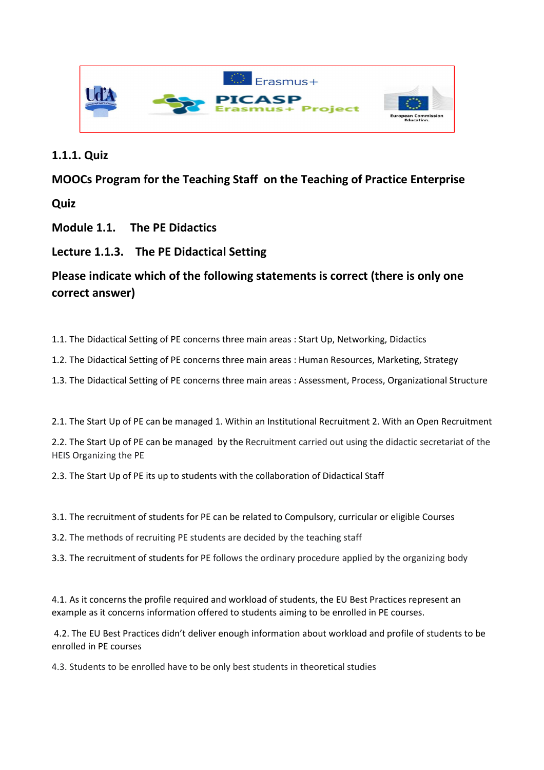

### **1.1.1. Quiz**

## **MOOCs Program for the Teaching Staff on the Teaching of Practice Enterprise**

**Quiz** 

**Module 1.1. The PE Didactics** 

## **Lecture 1.1.3. The PE Didactical Setting**

# **Please indicate which of the following statements is correct (there is only one correct answer)**

- 1.1. The Didactical Setting of PE concerns three main areas : Start Up, Networking, Didactics
- 1.2. The Didactical Setting of PE concerns three main areas : Human Resources, Marketing, Strategy
- 1.3. The Didactical Setting of PE concerns three main areas : Assessment, Process, Organizational Structure

2.1. The Start Up of PE can be managed 1. Within an Institutional Recruitment 2. With an Open Recruitment

2.2. The Start Up of PE can be managed by the Recruitment carried out using the didactic secretariat of the HEIS Organizing the PE

2.3. The Start Up of PE its up to students with the collaboration of Didactical Staff

- 3.1. The recruitment of students for PE can be related to Compulsory, curricular or eligible Courses
- 3.2. The methods of recruiting PE students are decided by the teaching staff
- 3.3. The recruitment of students for PE follows the ordinary procedure applied by the organizing body

4.1. As it concerns the profile required and workload of students, the EU Best Practices represent an example as it concerns information offered to students aiming to be enrolled in PE courses.

 4.2. The EU Best Practices didn't deliver enough information about workload and profile of students to be enrolled in PE courses

4.3. Students to be enrolled have to be only best students in theoretical studies